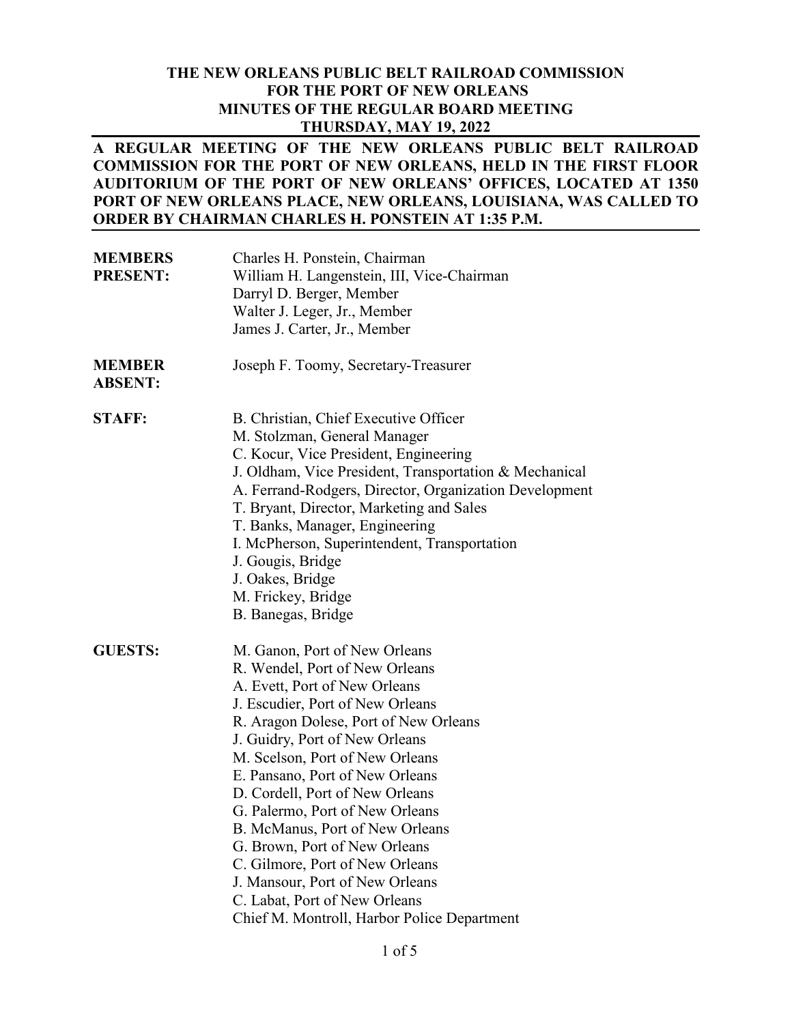### **THE NEW ORLEANS PUBLIC BELT RAILROAD COMMISSION FOR THE PORT OF NEW ORLEANS MINUTES OF THE REGULAR BOARD MEETING THURSDAY, MAY 19, 2022**

## **A REGULAR MEETING OF THE NEW ORLEANS PUBLIC BELT RAILROAD COMMISSION FOR THE PORT OF NEW ORLEANS, HELD IN THE FIRST FLOOR AUDITORIUM OF THE PORT OF NEW ORLEANS' OFFICES, LOCATED AT 1350 PORT OF NEW ORLEANS PLACE, NEW ORLEANS, LOUISIANA, WAS CALLED TO ORDER BY CHAIRMAN CHARLES H. PONSTEIN AT 1:35 P.M.**

| <b>MEMBERS</b><br><b>PRESENT:</b> | Charles H. Ponstein, Chairman<br>William H. Langenstein, III, Vice-Chairman<br>Darryl D. Berger, Member<br>Walter J. Leger, Jr., Member<br>James J. Carter, Jr., Member                                                                                                                                                                                                                                                                                                                                                                                                               |
|-----------------------------------|---------------------------------------------------------------------------------------------------------------------------------------------------------------------------------------------------------------------------------------------------------------------------------------------------------------------------------------------------------------------------------------------------------------------------------------------------------------------------------------------------------------------------------------------------------------------------------------|
| <b>MEMBER</b><br><b>ABSENT:</b>   | Joseph F. Toomy, Secretary-Treasurer                                                                                                                                                                                                                                                                                                                                                                                                                                                                                                                                                  |
| <b>STAFF:</b>                     | B. Christian, Chief Executive Officer<br>M. Stolzman, General Manager<br>C. Kocur, Vice President, Engineering<br>J. Oldham, Vice President, Transportation & Mechanical<br>A. Ferrand-Rodgers, Director, Organization Development<br>T. Bryant, Director, Marketing and Sales<br>T. Banks, Manager, Engineering<br>I. McPherson, Superintendent, Transportation<br>J. Gougis, Bridge<br>J. Oakes, Bridge<br>M. Frickey, Bridge<br>B. Banegas, Bridge                                                                                                                                 |
| <b>GUESTS:</b>                    | M. Ganon, Port of New Orleans<br>R. Wendel, Port of New Orleans<br>A. Evett, Port of New Orleans<br>J. Escudier, Port of New Orleans<br>R. Aragon Dolese, Port of New Orleans<br>J. Guidry, Port of New Orleans<br>M. Scelson, Port of New Orleans<br>E. Pansano, Port of New Orleans<br>D. Cordell, Port of New Orleans<br>G. Palermo, Port of New Orleans<br>B. McManus, Port of New Orleans<br>G. Brown, Port of New Orleans<br>C. Gilmore, Port of New Orleans<br>J. Mansour, Port of New Orleans<br>C. Labat, Port of New Orleans<br>Chief M. Montroll, Harbor Police Department |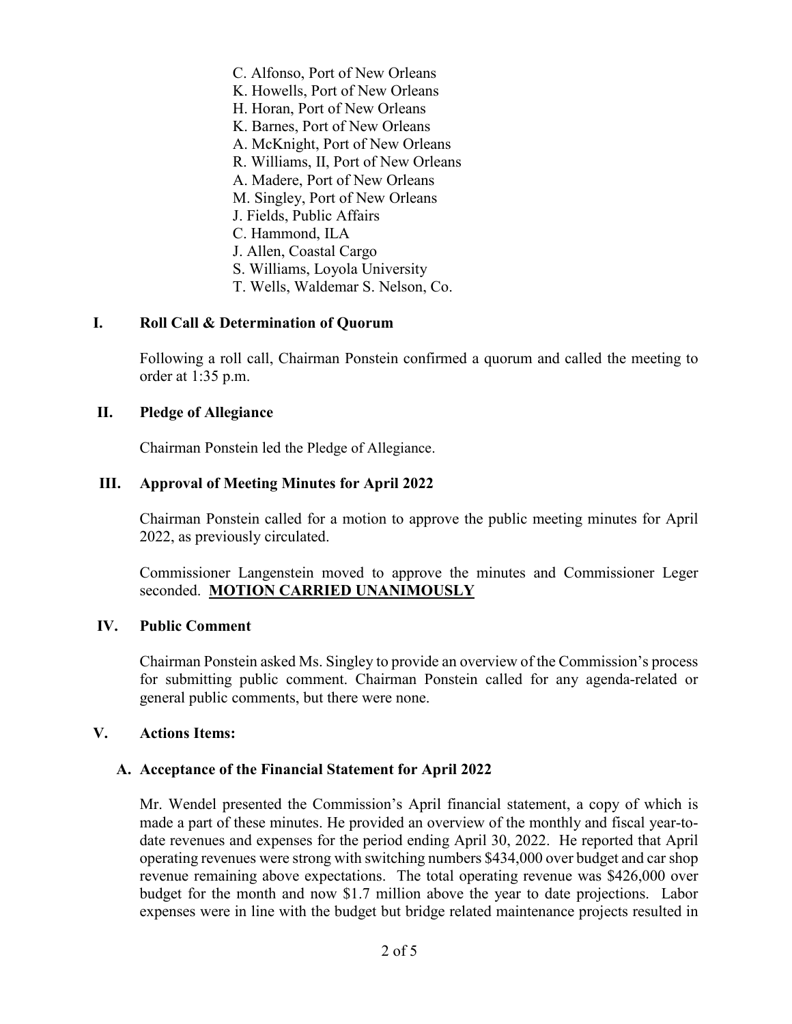C. Alfonso, Port of New Orleans K. Howells, Port of New Orleans H. Horan, Port of New Orleans K. Barnes, Port of New Orleans A. McKnight, Port of New Orleans R. Williams, II, Port of New Orleans A. Madere, Port of New Orleans M. Singley, Port of New Orleans J. Fields, Public Affairs C. Hammond, ILA J. Allen, Coastal Cargo S. Williams, Loyola University T. Wells, Waldemar S. Nelson, Co.

### **I. Roll Call & Determination of Quorum**

Following a roll call, Chairman Ponstein confirmed a quorum and called the meeting to order at 1:35 p.m.

### **II. Pledge of Allegiance**

Chairman Ponstein led the Pledge of Allegiance.

### **III. Approval of Meeting Minutes for April 2022**

Chairman Ponstein called for a motion to approve the public meeting minutes for April 2022, as previously circulated.

Commissioner Langenstein moved to approve the minutes and Commissioner Leger seconded. **MOTION CARRIED UNANIMOUSLY**

### **IV. Public Comment**

Chairman Ponstein asked Ms. Singley to provide an overview of the Commission's process for submitting public comment. Chairman Ponstein called for any agenda-related or general public comments, but there were none.

### **V. Actions Items:**

#### **A. Acceptance of the Financial Statement for April 2022**

Mr. Wendel presented the Commission's April financial statement, a copy of which is made a part of these minutes. He provided an overview of the monthly and fiscal year-todate revenues and expenses for the period ending April 30, 2022. He reported that April operating revenues were strong with switching numbers \$434,000 over budget and car shop revenue remaining above expectations. The total operating revenue was \$426,000 over budget for the month and now \$1.7 million above the year to date projections. Labor expenses were in line with the budget but bridge related maintenance projects resulted in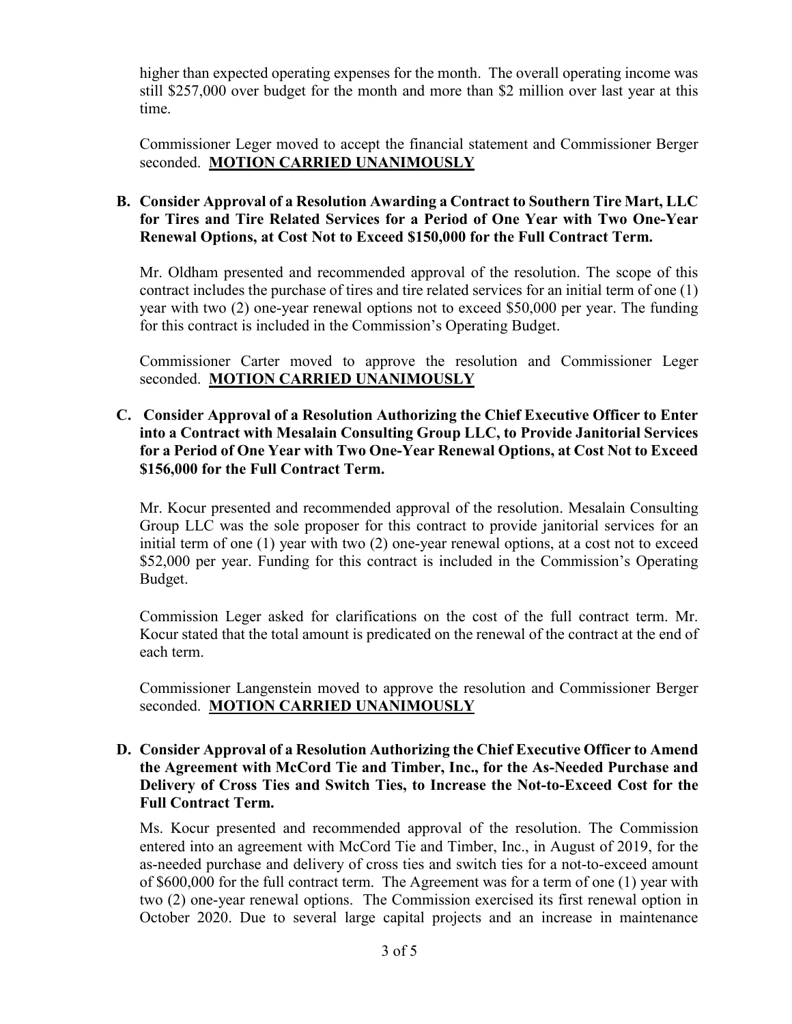higher than expected operating expenses for the month. The overall operating income was still \$257,000 over budget for the month and more than \$2 million over last year at this time.

Commissioner Leger moved to accept the financial statement and Commissioner Berger seconded. **MOTION CARRIED UNANIMOUSLY**

# **B. Consider Approval of a Resolution Awarding a Contract to Southern Tire Mart, LLC for Tires and Tire Related Services for a Period of One Year with Two One-Year Renewal Options, at Cost Not to Exceed \$150,000 for the Full Contract Term.**

Mr. Oldham presented and recommended approval of the resolution. The scope of this contract includes the purchase of tires and tire related services for an initial term of one (1) year with two (2) one-year renewal options not to exceed \$50,000 per year. The funding for this contract is included in the Commission's Operating Budget.

Commissioner Carter moved to approve the resolution and Commissioner Leger seconded. **MOTION CARRIED UNANIMOUSLY**

# **C. Consider Approval of a Resolution Authorizing the Chief Executive Officer to Enter into a Contract with Mesalain Consulting Group LLC, to Provide Janitorial Services for a Period of One Year with Two One-Year Renewal Options, at Cost Not to Exceed \$156,000 for the Full Contract Term.**

Mr. Kocur presented and recommended approval of the resolution. Mesalain Consulting Group LLC was the sole proposer for this contract to provide janitorial services for an initial term of one (1) year with two (2) one-year renewal options, at a cost not to exceed \$52,000 per year. Funding for this contract is included in the Commission's Operating Budget.

Commission Leger asked for clarifications on the cost of the full contract term. Mr. Kocur stated that the total amount is predicated on the renewal of the contract at the end of each term.

Commissioner Langenstein moved to approve the resolution and Commissioner Berger seconded. **MOTION CARRIED UNANIMOUSLY**

## **D. Consider Approval of a Resolution Authorizing the Chief Executive Officer to Amend the Agreement with McCord Tie and Timber, Inc., for the As-Needed Purchase and Delivery of Cross Ties and Switch Ties, to Increase the Not-to-Exceed Cost for the Full Contract Term.**

Ms. Kocur presented and recommended approval of the resolution. The Commission entered into an agreement with McCord Tie and Timber, Inc., in August of 2019, for the as-needed purchase and delivery of cross ties and switch ties for a not-to-exceed amount of \$600,000 for the full contract term. The Agreement was for a term of one (1) year with two (2) one-year renewal options. The Commission exercised its first renewal option in October 2020. Due to several large capital projects and an increase in maintenance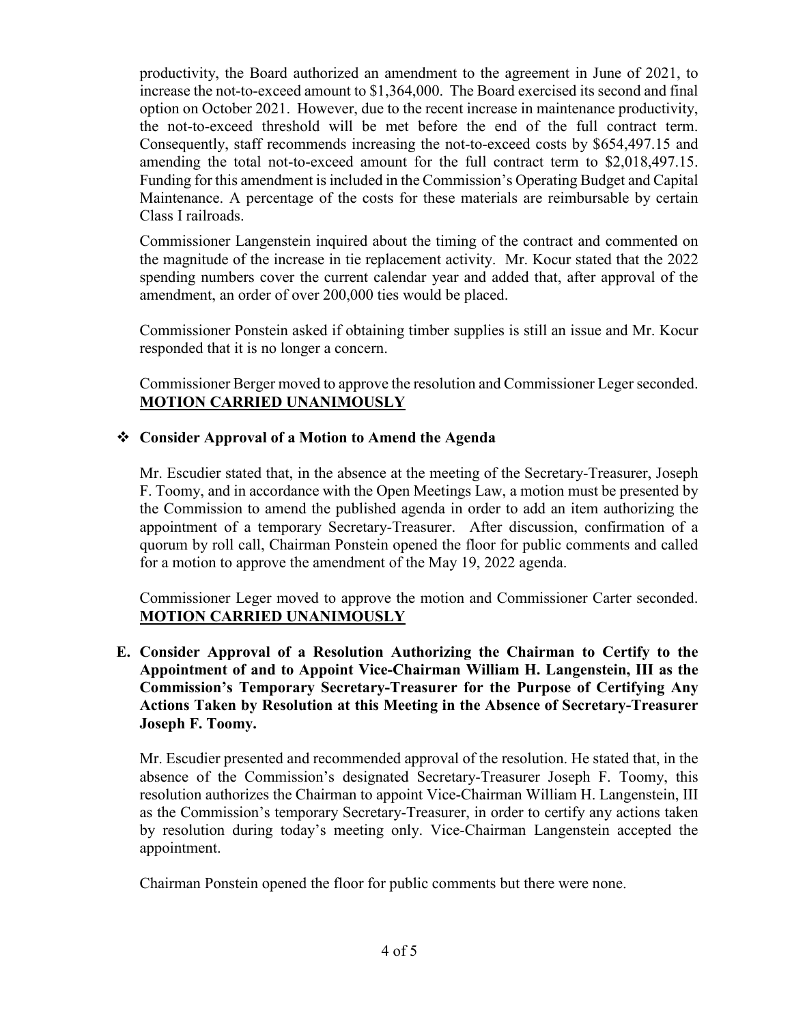productivity, the Board authorized an amendment to the agreement in June of 2021, to increase the not-to-exceed amount to \$1,364,000. The Board exercised its second and final option on October 2021. However, due to the recent increase in maintenance productivity, the not-to-exceed threshold will be met before the end of the full contract term. Consequently, staff recommends increasing the not-to-exceed costs by \$654,497.15 and amending the total not-to-exceed amount for the full contract term to \$2,018,497.15. Funding for this amendment is included in the Commission's Operating Budget and Capital Maintenance. A percentage of the costs for these materials are reimbursable by certain Class I railroads.

Commissioner Langenstein inquired about the timing of the contract and commented on the magnitude of the increase in tie replacement activity. Mr. Kocur stated that the 2022 spending numbers cover the current calendar year and added that, after approval of the amendment, an order of over 200,000 ties would be placed.

Commissioner Ponstein asked if obtaining timber supplies is still an issue and Mr. Kocur responded that it is no longer a concern.

Commissioner Berger moved to approve the resolution and Commissioner Leger seconded. **MOTION CARRIED UNANIMOUSLY**

# **Consider Approval of a Motion to Amend the Agenda**

Mr. Escudier stated that, in the absence at the meeting of the Secretary-Treasurer, Joseph F. Toomy, and in accordance with the Open Meetings Law, a motion must be presented by the Commission to amend the published agenda in order to add an item authorizing the appointment of a temporary Secretary-Treasurer. After discussion, confirmation of a quorum by roll call, Chairman Ponstein opened the floor for public comments and called for a motion to approve the amendment of the May 19, 2022 agenda.

Commissioner Leger moved to approve the motion and Commissioner Carter seconded. **MOTION CARRIED UNANIMOUSLY**

**E. Consider Approval of a Resolution Authorizing the Chairman to Certify to the Appointment of and to Appoint Vice-Chairman William H. Langenstein, III as the Commission's Temporary Secretary-Treasurer for the Purpose of Certifying Any Actions Taken by Resolution at this Meeting in the Absence of Secretary-Treasurer Joseph F. Toomy.** 

Mr. Escudier presented and recommended approval of the resolution. He stated that, in the absence of the Commission's designated Secretary-Treasurer Joseph F. Toomy, this resolution authorizes the Chairman to appoint Vice-Chairman William H. Langenstein, III as the Commission's temporary Secretary-Treasurer, in order to certify any actions taken by resolution during today's meeting only. Vice-Chairman Langenstein accepted the appointment.

Chairman Ponstein opened the floor for public comments but there were none.